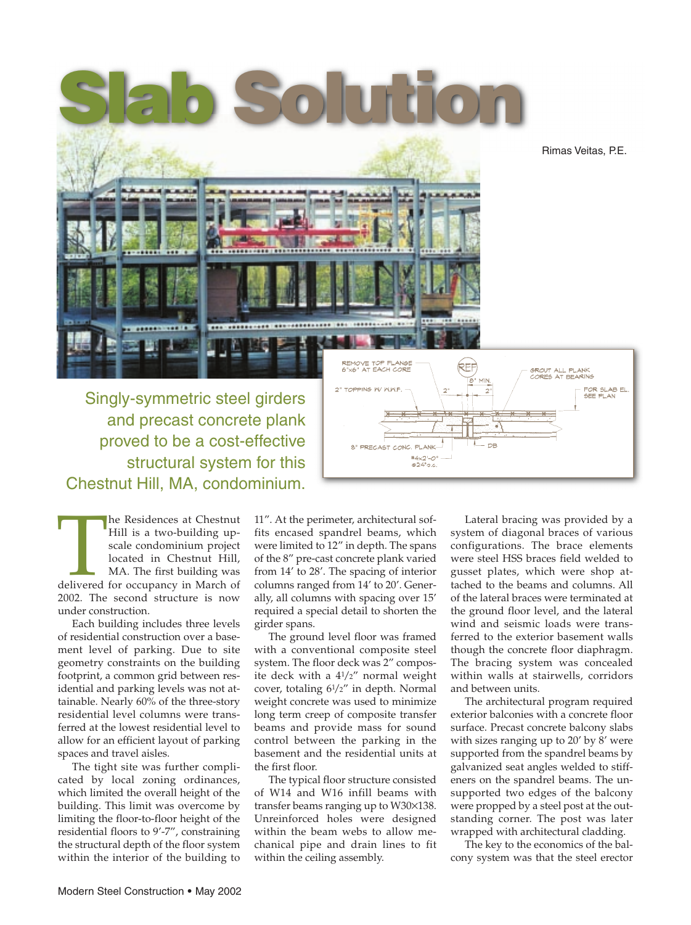

proved to be a cost-effective structural system for this Chestnut Hill, MA, condominium.

The Residences at Chestnut<br>Hill is a two-building up-<br>scale condominium project<br>located in Chestnut Hill,<br>MA. The first building was<br>delivered for occupancy in March of<br>2002. The second structure is now Hill is a two-building upscale condominium project located in Chestnut Hill, MA. The first building was 2002. The second structure is now under construction.

Each building includes three levels of residential construction over a basement level of parking. Due to site geometry constraints on the building footprint, a common grid between residential and parking levels was not attainable. Nearly 60% of the three-story residential level columns were transferred at the lowest residential level to allow for an efficient layout of parking spaces and travel aisles.

The tight site was further complicated by local zoning ordinances, which limited the overall height of the building. This limit was overcome by limiting the floor-to-floor height of the residential floors to 9'-7", constraining the structural depth of the floor system within the interior of the building to

11". At the perimeter, architectural soffits encased spandrel beams, which were limited to 12" in depth. The spans of the 8" pre-cast concrete plank varied from 14' to 28'. The spacing of interior columns ranged from 14' to 20'. Generally, all columns with spacing over 15' required a special detail to shorten the girder spans.

8" PRECAST CONC. PLANK

 $*4x2 - 0$  $0.24"$ oc

The ground level floor was framed with a conventional composite steel system. The floor deck was 2" composite deck with a 41 /2" normal weight cover, totaling 61 /2" in depth. Normal weight concrete was used to minimize long term creep of composite transfer beams and provide mass for sound control between the parking in the basement and the residential units at the first floor.

The typical floor structure consisted of W14 and W16 infill beams with transfer beams ranging up to W30×138. Unreinforced holes were designed within the beam webs to allow mechanical pipe and drain lines to fit within the ceiling assembly.

Lateral bracing was provided by a system of diagonal braces of various configurations. The brace elements were steel HSS braces field welded to gusset plates, which were shop attached to the beams and columns. All of the lateral braces were terminated at the ground floor level, and the lateral wind and seismic loads were transferred to the exterior basement walls though the concrete floor diaphragm. The bracing system was concealed within walls at stairwells, corridors and between units.

The architectural program required exterior balconies with a concrete floor surface. Precast concrete balcony slabs with sizes ranging up to 20' by 8' were supported from the spandrel beams by galvanized seat angles welded to stiffeners on the spandrel beams. The unsupported two edges of the balcony were propped by a steel post at the outstanding corner. The post was later wrapped with architectural cladding.

The key to the economics of the balcony system was that the steel erector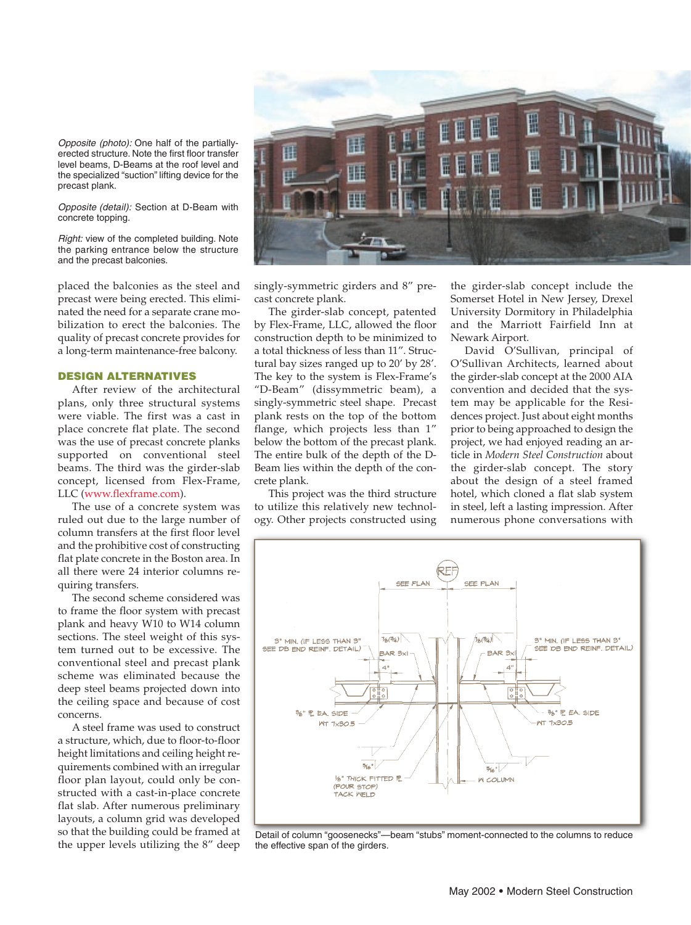Opposite (photo): One half of the partiallyerected structure. Note the first floor transfer level beams, D-Beams at the roof level and the specialized "suction" lifting device for the precast plank.

Opposite (detail): Section at D-Beam with concrete topping.

Right: view of the completed building. Note the parking entrance below the structure and the precast balconies.

placed the balconies as the steel and precast were being erected. This eliminated the need for a separate crane mobilization to erect the balconies. The quality of precast concrete provides for a long-term maintenance-free balcony.

## **DESIGN ALTERNATIVES**

After review of the architectural plans, only three structural systems were viable. The first was a cast in place concrete flat plate. The second was the use of precast concrete planks supported on conventional steel beams. The third was the girder-slab concept, licensed from Flex-Frame, LLC (www.flexframe.com).

The use of a concrete system was ruled out due to the large number of column transfers at the first floor level and the prohibitive cost of constructing flat plate concrete in the Boston area. In all there were 24 interior columns requiring transfers.

The second scheme considered was to frame the floor system with precast plank and heavy W10 to W14 column sections. The steel weight of this system turned out to be excessive. The conventional steel and precast plank scheme was eliminated because the deep steel beams projected down into the ceiling space and because of cost concerns.

A steel frame was used to construct a structure, which, due to floor-to-floor height limitations and ceiling height requirements combined with an irregular floor plan layout, could only be constructed with a cast-in-place concrete flat slab. After numerous preliminary layouts, a column grid was developed so that the building could be framed at the upper levels utilizing the 8" deep



singly-symmetric girders and 8" precast concrete plank.

The girder-slab concept, patented by Flex-Frame, LLC, allowed the floor construction depth to be minimized to a total thickness of less than 11". Structural bay sizes ranged up to 20' by 28'. The key to the system is Flex-Frame's "D-Beam" (dissymmetric beam), a singly-symmetric steel shape. Precast plank rests on the top of the bottom flange, which projects less than 1" below the bottom of the precast plank. The entire bulk of the depth of the D-Beam lies within the depth of the concrete plank.

This project was the third structure to utilize this relatively new technology. Other projects constructed using the girder-slab concept include the Somerset Hotel in New Jersey, Drexel University Dormitory in Philadelphia and the Marriott Fairfield Inn at Newark Airport.

David O'Sullivan, principal of O'Sullivan Architects, learned about the girder-slab concept at the 2000 AIA convention and decided that the system may be applicable for the Residences project. Just about eight months prior to being approached to design the project, we had enjoyed reading an article in *Modern Steel Construction* about the girder-slab concept. The story about the design of a steel framed hotel, which cloned a flat slab system in steel, left a lasting impression. After numerous phone conversations with



Detail of column "goosenecks"—beam "stubs" moment-connected to the columns to reduce the effective span of the girders.